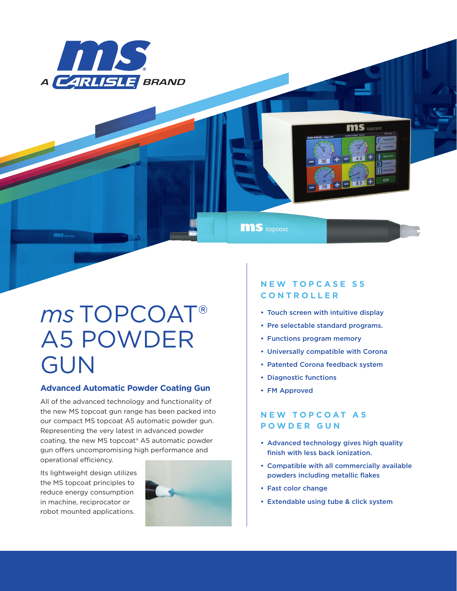

**MS** topcoat

# *ms* TOPCOAT® A5 POWDER GUN

### **Advanced Automatic Powder Coating Gun**

All of the advanced technology and functionality of the new MS topcoat gun range has been packed into our compact MS topcoat A5 automatic powder gun. Representing the very latest in advanced powder coating, the new MS topcoat® A5 automatic powder gun offers uncompromising high performance and operational efficiency.

Its lightweight design utilizes the MS topcoat principles to reduce energy consumption in machine, reciprocator or robot mounted applications.



## **N E W T O P C A S E S 5 CONTROLLER**

• Touch screen with intuitive display

**MIS** tone

- Pre selectable standard programs.
- Functions program memory
- Universally compatible with Corona
- Patented Corona feedback system
- Diagnostic functions
- FM Approved

## **NEW TOPCOAT A5 POWDER GUN**

- Advanced technology gives high quality finish with less back ionization.
- Compatible with all commercially available powders including metallic flakes
- Fast color change
- Extendable using tube & click system